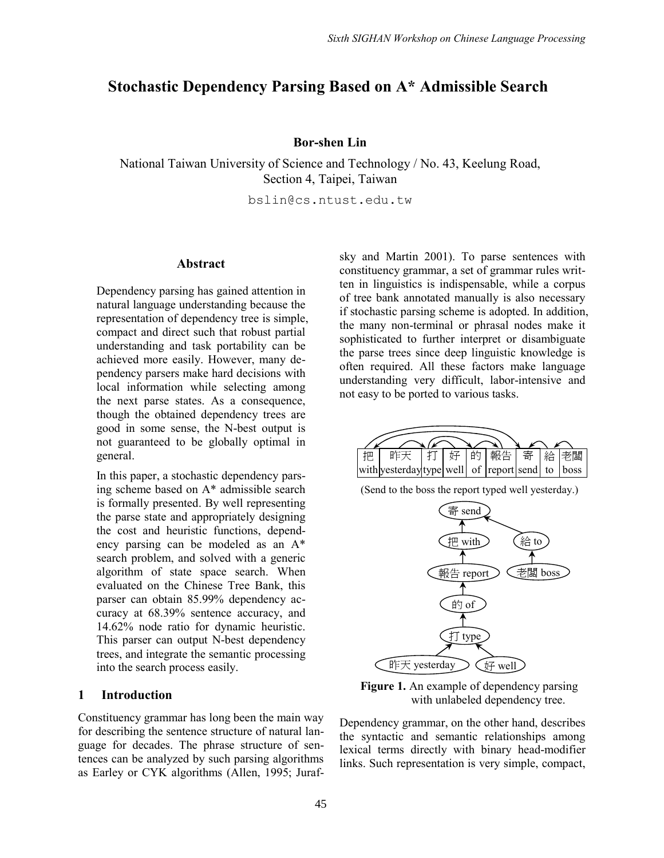# **Stochastic Dependency Parsing Based on A\* Admissible Search**

# **Bor-shen Lin**

National Taiwan University of Science and Technology / No. 43, Keelung Road, Section 4, Taipei, Taiwan

bslin@cs.ntust.edu.tw

### **Abstract**

Dependency parsing has gained attention in natural language understanding because the representation of dependency tree is simple, compact and direct such that robust partial understanding and task portability can be achieved more easily. However, many dependency parsers make hard decisions with local information while selecting among the next parse states. As a consequence, though the obtained dependency trees are good in some sense, the N-best output is not guaranteed to be globally optimal in general.

In this paper, a stochastic dependency parsing scheme based on A\* admissible search is formally presented. By well representing the parse state and appropriately designing the cost and heuristic functions, dependency parsing can be modeled as an A\* search problem, and solved with a generic algorithm of state space search. When evaluated on the Chinese Tree Bank, this parser can obtain 85.99% dependency accuracy at 68.39% sentence accuracy, and 14.62% node ratio for dynamic heuristic. This parser can output N-best dependency trees, and integrate the semantic processing into the search process easily.

#### **1 Introduction**

Constituency grammar has long been the main way for describing the sentence structure of natural language for decades. The phrase structure of sentences can be analyzed by such parsing algorithms as Earley or CYK algorithms (Allen, 1995; Jurafsky and Martin 2001). To parse sentences with constituency grammar, a set of grammar rules written in linguistics is indispensable, while a corpus of tree bank annotated manually is also necessary if stochastic parsing scheme is adopted. In addition, the many non-terminal or phrasal nodes make it sophisticated to further interpret or disambiguate the parse trees since deep linguistic knowledge is often required. All these factors make language understanding very difficult, labor-intensive and not easy to be ported to various tasks.



(Send to the boss the report typed well yesterday.)



**Figure 1.** An example of dependency parsing with unlabeled dependency tree.

Dependency grammar, on the other hand, describes the syntactic and semantic relationships among lexical terms directly with binary head-modifier links. Such representation is very simple, compact,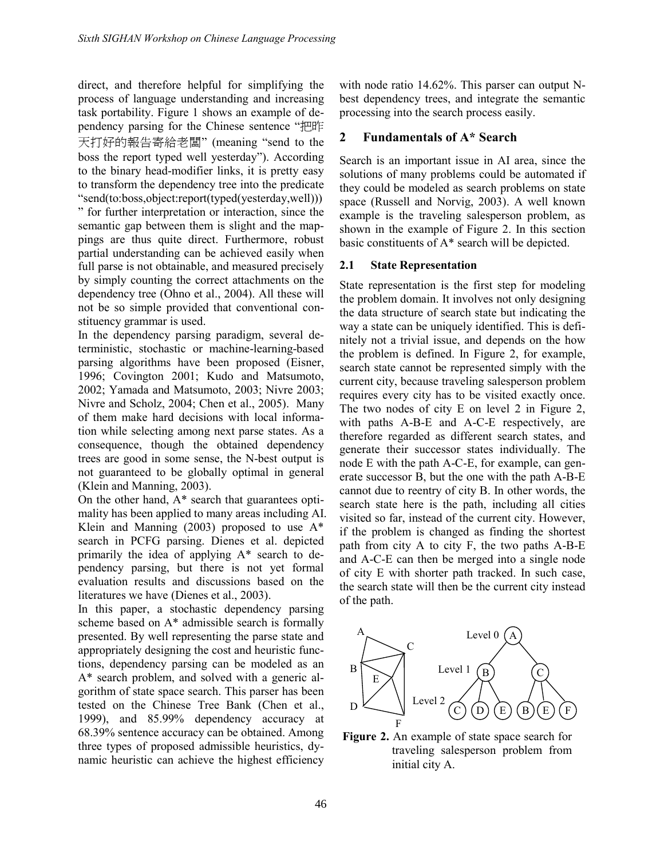direct, and therefore helpful for simplifying the process of language understanding and increasing task portability. Figure 1 shows an example of dependency parsing for the Chinese sentence "把昨 天打好的報告寄給老闆"(meaning "send to the boss the report typed well yesterday"). According to the binary head-modifier links, it is pretty easy to transform the dependency tree into the predicate "send(to:boss,object:report(typed(yesterday,well))) "for further interpretation or interaction, since the semantic gap between them is slight and the mappings are thus quite direct. Furthermore, robust partial understanding can be achieved easily when full parse is not obtainable, and measured precisely by simply counting the correct attachments on the dependency tree (Ohno et al., 2004). All these will not be so simple provided that conventional constituency grammar is used.

In the dependency parsing paradigm, several deterministic, stochastic or machine-learning-based parsing algorithms have been proposed (Eisner, 1996; Covington 2001; Kudo and Matsumoto, 2002; Yamada and Matsumoto, 2003; Nivre 2003; Nivre and Scholz, 2004; Chen et al., 2005). Many of them make hard decisions with local information while selecting among next parse states. As a consequence, though the obtained dependency trees are good in some sense, the N-best output is not guaranteed to be globally optimal in general (Klein and Manning, 2003).

On the other hand, A\* search that guarantees optimality has been applied to many areas including AI. Klein and Manning (2003) proposed to use A\* search in PCFG parsing. Dienes et al. depicted primarily the idea of applying A\* search to dependency parsing, but there is not yet formal evaluation results and discussions based on the literatures we have (Dienes et al., 2003).

In this paper, a stochastic dependency parsing scheme based on A\* admissible search is formally presented. By well representing the parse state and appropriately designing the cost and heuristic functions, dependency parsing can be modeled as an A\* search problem, and solved with a generic algorithm of state space search. This parser has been tested on the Chinese Tree Bank (Chen et al., 1999), and 85.99% dependency accuracy at 68.39% sentence accuracy can be obtained. Among three types of proposed admissible heuristics, dynamic heuristic can achieve the highest efficiency with node ratio 14.62%. This parser can output Nbest dependency trees, and integrate the semantic processing into the search process easily.

# **2 Fundamentals of A\* Search**

Search is an important issue in AI area, since the solutions of many problems could be automated if they could be modeled as search problems on state space (Russell and Norvig, 2003). A well known example is the traveling salesperson problem, as shown in the example of Figure 2. In this section basic constituents of A\* search will be depicted.

# **2.1 State Representation**

State representation is the first step for modeling the problem domain. It involves not only designing the data structure of search state but indicating the way a state can be uniquely identified. This is definitely not a trivial issue, and depends on the how the problem is defined. In Figure 2, for example, search state cannot be represented simply with the current city, because traveling salesperson problem requires every city has to be visited exactly once. The two nodes of city E on level 2 in Figure 2, with paths A-B-E and A-C-E respectively, are therefore regarded as different search states, and generate their successor states individually. The node E with the path A-C-E, for example, can generate successor B, but the one with the path A-B-E cannot due to reentry of city B. In other words, the search state here is the path, including all cities visited so far, instead of the current city. However, if the problem is changed as finding the shortest path from city A to city F, the two paths A-B-E and A-C-E can then be merged into a single node of city E with shorter path tracked. In such case, the search state will then be the current city instead of the path.



**Figure 2.** An example of state space search for traveling salesperson problem from initial city A.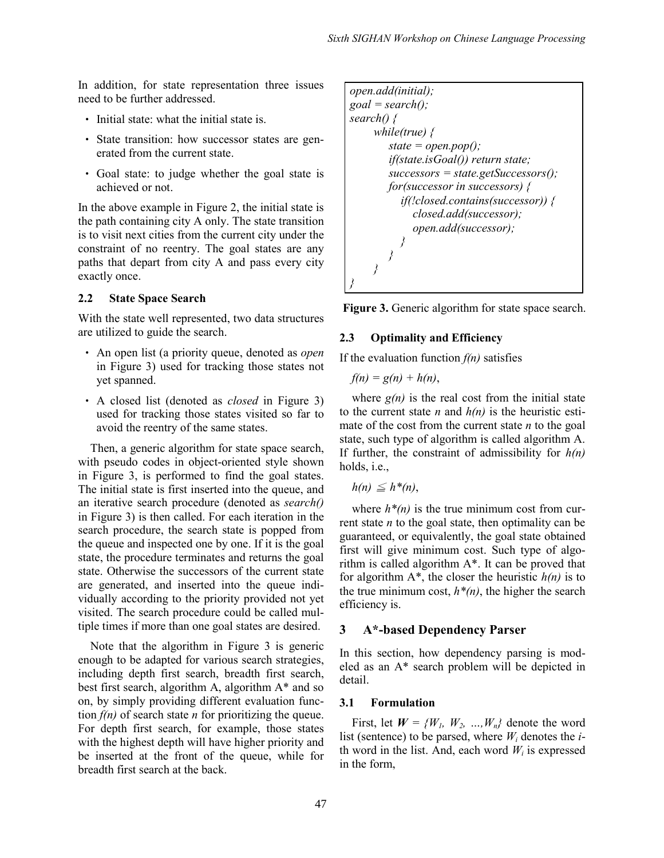In addition, for state representation three issues need to be further addressed.

- ‧ Initial state: what the initial state is.
- State transition: how successor states are generated from the current state.
- ‧ Goal state: to judge whether the goal state is achieved or not.

In the above example in Figure 2, the initial state is the path containing city A only. The state transition is to visit next cities from the current city under the constraint of no reentry. The goal states are any paths that depart from city A and pass every city exactly once.

# **2.2 State Space Search**

With the state well represented, two data structures are utilized to guide the search.

- ‧ An open list (a priority queue, denoted as *open* in Figure 3) used for tracking those states not yet spanned.
- ‧ A closed list (denoted as *closed* in Figure 3) used for tracking those states visited so far to avoid the reentry of the same states.

Then, a generic algorithm for state space search, with pseudo codes in object-oriented style shown in Figure 3, is performed to find the goal states. The initial state is first inserted into the queue, and an iterative search procedure (denoted as *search()* in Figure 3) is then called. For each iteration in the search procedure, the search state is popped from the queue and inspected one by one. If it is the goal state, the procedure terminates and returns the goal state. Otherwise the successors of the current state are generated, and inserted into the queue individually according to the priority provided not yet visited. The search procedure could be called multiple times if more than one goal states are desired.

Note that the algorithm in Figure 3 is generic enough to be adapted for various search strategies, including depth first search, breadth first search, best first search, algorithm A, algorithm A\* and so on, by simply providing different evaluation function  $f(n)$  of search state *n* for prioritizing the queue. For depth first search, for example, those states with the highest depth will have higher priority and be inserted at the front of the queue, while for breadth first search at the back.

*open.add(initial); goal = search(); search() { while(true) { state = open.pop(); if(state.isGoal()) return state; successors = state.getSuccessors(); for(successor in successors) { if(!closed.contains(successor)) { closed.add(successor); open.add(successor); } } } }*

**Figure 3.** Generic algorithm for state space search.

# **2.3 Optimality and Efficiency**

If the evaluation function  $f(n)$  satisfies

$$
f(n) = g(n) + h(n),
$$

where  $g(n)$  is the real cost from the initial state to the current state *n* and  $h(n)$  is the heuristic estimate of the cost from the current state *n* to the goal state, such type of algorithm is called algorithm A. If further, the constraint of admissibility for *h(n)* holds, i.e.,

$$
h(n) \leq h^*(n),
$$

where  $h^*(n)$  is the true minimum cost from current state *n* to the goal state, then optimality can be guaranteed, or equivalently, the goal state obtained first will give minimum cost. Such type of algorithm is called algorithm A\*. It can be proved that for algorithm  $A^*$ , the closer the heuristic  $h(n)$  is to the true minimum cost,  $h^*(n)$ , the higher the search efficiency is.

# **3 A\*-based Dependency Parser**

In this section, how dependency parsing is modeled as an A\* search problem will be depicted in detail.

# **3.1 Formulation**

First, let  $W = \{W_1, W_2, ..., W_n\}$  denote the word list (sentence) to be parsed, where *W<sup>i</sup>* denotes the *i*th word in the list. And, each word  $W_i$  is expressed in the form,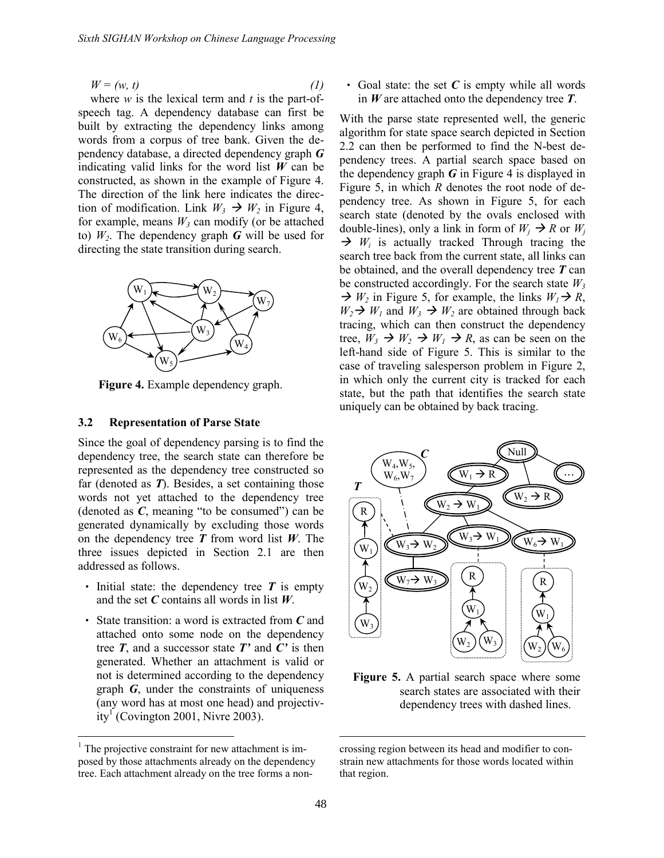$W = (w, t)$  *(1)* 

where *w* is the lexical term and *t* is the part-ofspeech tag. A dependency database can first be built by extracting the dependency links among words from a corpus of tree bank. Given the dependency database, a directed dependency graph *G* indicating valid links for the word list  $W$  can be constructed, as shown in the example of Figure 4. The direction of the link here indicates the direction of modification. Link  $W_3 \rightarrow W_2$  in Figure 4, for example, means  $W_3$  can modify (or be attached to)  $W_2$ . The dependency graph *G* will be used for directing the state transition during search.



**Figure 4.** Example dependency graph.

#### **3.2 Representation of Parse State**

Since the goal of dependency parsing is to find the dependency tree, the search state can therefore be represented as the dependency tree constructed so far (denoted as *T*). Besides, a set containing those words not yet attached to the dependency tree (denoted as *C*, meaning "to be consumed") can be generated dynamically by excluding those words on the dependency tree *T* from word list *W*. The three issues depicted in Section 2.1 are then addressed as follows.

- Initial state: the dependency tree **T** is empty and the set *C* contains all words in list *W*.
- ‧ State transition: a word is extracted from *C* and attached onto some node on the dependency tree  $T$ , and a successor state  $T'$  and  $C'$  is then generated. Whether an attachment is valid or not is determined according to the dependency graph *G*, under the constraints of uniqueness (any word has at most one head) and projectivity<sup>1</sup> (Covington 2001, Nivre 2003).

‧ Goal state: the set *C* is empty while all words in *W* are attached onto the dependency tree *T*.

With the parse state represented well, the generic algorithm for state space search depicted in Section 2.2 can then be performed to find the N-best dependency trees. A partial search space based on the dependency graph  $G$  in Figure 4 is displayed in Figure 5, in which *R* denotes the root node of dependency tree. As shown in Figure 5, for each search state (denoted by the ovals enclosed with double-lines), only a link in form of  $W_i \rightarrow R$  or  $W_j$  $\rightarrow$   $W_i$  is actually tracked Through tracing the search tree back from the current state, all links can be obtained, and the overall dependency tree *T* can be constructed accordingly. For the search state  $W_3$  $\rightarrow$  *W*<sub>2</sub> in Figure 5, for example, the links *W*<sub>1</sub> $\rightarrow$  *R*,  $W_2 \rightarrow W_1$  and  $W_3 \rightarrow W_2$  are obtained through back tracing, which can then construct the dependency tree,  $W_3 \rightarrow W_2 \rightarrow W_1 \rightarrow R$ , as can be seen on the left-hand side of Figure 5. This is similar to the case of traveling salesperson problem in Figure 2, in which only the current city is tracked for each state, but the path that identifies the search state uniquely can be obtained by back tracing.



**Figure 5.** A partial search space where some search states are associated with their dependency trees with dashed lines.

<sup>&</sup>lt;sup>1</sup> The projective constraint for new attachment is imposed by those attachments already on the dependency tree. Each attachment already on the tree forms a non-

crossing region between its head and modifier to constrain new attachments for those words located within that region.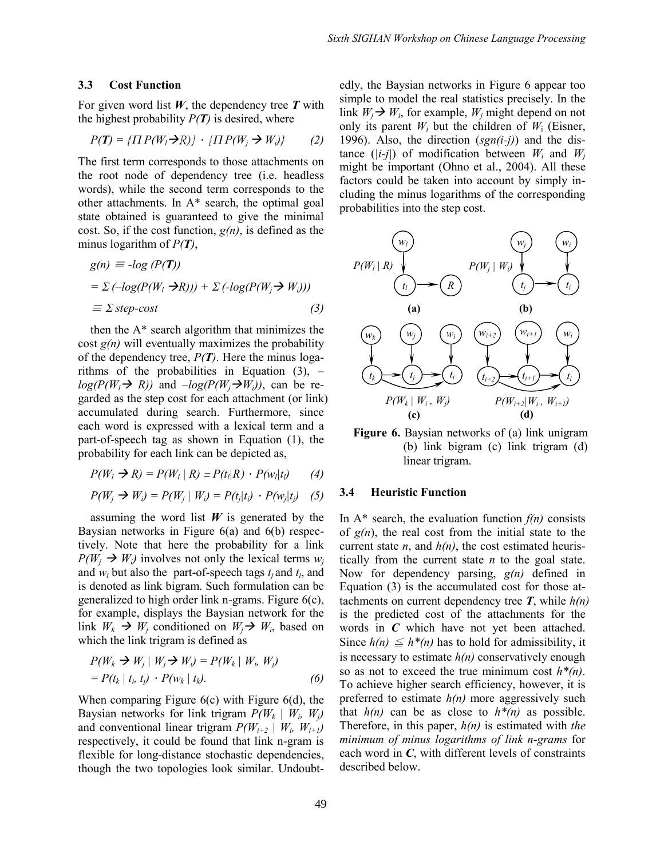#### **3.3 Cost Function**

For given word list *W*, the dependency tree *T* with the highest probability  $P(T)$  is desired, where

$$
P(T) = \{ \Pi P(W_l \rightarrow R) \} \cdot \{ \Pi P(W_j \rightarrow W_j) \} \tag{2}
$$

The first term corresponds to those attachments on the root node of dependency tree (i.e. headless words), while the second term corresponds to the other attachments. In A\* search, the optimal goal state obtained is guaranteed to give the minimal cost. So, if the cost function, *g(n)*, is defined as the minus logarithm of *P(T)*,

$$
g(n) \equiv -\log (P(T))
$$
  
=  $\Sigma$  ( $-\log(P(W_i \rightarrow R))) + \Sigma$  ( $-\log(P(W_j \rightarrow W_i)))$   
 $\equiv \Sigma$  step-cost (3)

then the A\* search algorithm that minimizes the cost *g(n)* will eventually maximizes the probability of the dependency tree,  $P(T)$ . Here the minus logarithms of the probabilities in Equation (3), *–*  $log(P(W_i \rightarrow R))$  and  $-log(P(W_i \rightarrow W_i))$ , can be regarded as the step cost for each attachment (or link) accumulated during search. Furthermore, since each word is expressed with a lexical term and a part-of-speech tag as shown in Equation (1), the probability for each link can be depicted as,

$$
P(W_l \rightarrow R) = P(W_l \mid R) = P(t_l \mid R) \cdot P(w_l \mid t_l) \tag{4}
$$

$$
P(W_j \rightarrow W_i) = P(W_j \mid W_i) = P(t_j | t_i) \cdot P(w_j | t_j) \quad (5)
$$

assuming the word list  $W$  is generated by the Baysian networks in Figure 6(a) and 6(b) respectively. Note that here the probability for a link  $P(W_i \rightarrow W_i)$  involves not only the lexical terms  $w_i$ and  $w_i$  but also the part-of-speech tags  $t_j$  and  $t_i$ , and is denoted as link bigram. Such formulation can be generalized to high order link n-grams. Figure 6(c), for example, displays the Baysian network for the link  $W_k \to W_j$  conditioned on  $W_j \to W_j$ , based on which the link trigram is defined as

$$
P(W_k \rightarrow W_j | W_j \rightarrow W_i) = P(W_k | W_i, W_j)
$$
  
=  $P(t_k | t_i, t_j) \cdot P(w_k | t_k).$  (6)

When comparing Figure 6(c) with Figure 6(d), the Baysian networks for link trigram  $P(W_k | W_i, W_j)$ and conventional linear trigram  $P(W_{i+2} | W_i, W_{i+1})$ respectively, it could be found that link n-gram is flexible for long-distance stochastic dependencies, though the two topologies look similar. Undoubtedly, the Baysian networks in Figure 6 appear too simple to model the real statistics precisely. In the link  $W_j \rightarrow W_i$ , for example,  $W_j$  might depend on not only its parent  $W_i$  but the children of  $W_i$  (Eisner, 1996). Also, the direction (*sgn(i-j)*) and the distance ( $|i-j|$ ) of modification between  $W_i$  and  $W_j$ might be important (Ohno et al., 2004). All these factors could be taken into account by simply including the minus logarithms of the corresponding probabilities into the step cost.



**Figure 6.** Baysian networks of (a) link unigram (b) link bigram (c) link trigram (d) linear trigram.

#### **3.4 Heuristic Function**

In  $A^*$  search, the evaluation function  $f(n)$  consists of  $g(n)$ , the real cost from the initial state to the current state *n*, and *h(n)*, the cost estimated heuristically from the current state *n* to the goal state. Now for dependency parsing, *g(n)* defined in Equation (3) is the accumulated cost for those attachments on current dependency tree  $T$ , while  $h(n)$ is the predicted cost of the attachments for the words in *C* which have not yet been attached. Since  $h(n) \leq h^*(n)$  has to hold for admissibility, it is necessary to estimate *h(n)* conservatively enough so as not to exceed the true minimum cost *h\*(n)*. To achieve higher search efficiency, however, it is preferred to estimate  $h(n)$  more aggressively such that  $h(n)$  can be as close to  $h^*(n)$  as possible. Therefore, in this paper, *h(n)* is estimated with *the minimum of minus logarithms of link n-grams* for each word in *C*, with different levels of constraints described below.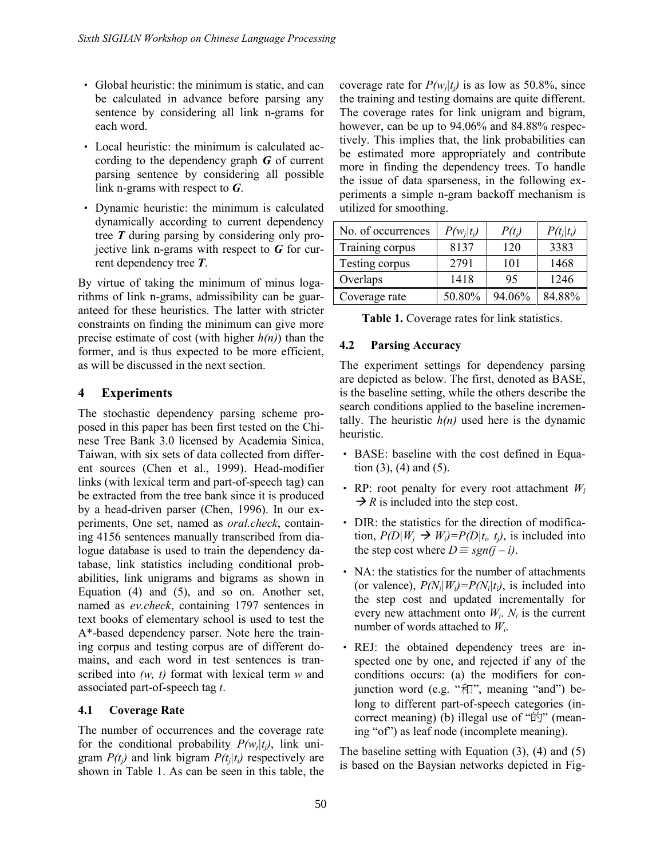- ‧ Global heuristic: the minimum is static, and can be calculated in advance before parsing any sentence by considering all link n-grams for each word.
- ‧ Local heuristic: the minimum is calculated according to the dependency graph *G* of current parsing sentence by considering all possible link n-grams with respect to *G*.
- ‧ Dynamic heuristic: the minimum is calculated dynamically according to current dependency tree *T* during parsing by considering only projective link n-grams with respect to *G* for current dependency tree *T*.

By virtue of taking the minimum of minus logarithms of link n-grams, admissibility can be guaranteed for these heuristics. The latter with stricter constraints on finding the minimum can give more precise estimate of cost (with higher  $h(n)$ ) than the  $\frac{4.2}{1}$ former, and is thus expected to be more efficient, as will be discussed in the next section.

# **4 Experiments**

The stochastic dependency parsing scheme proposed in this paper has been first tested on the Chinese Tree Bank 3.0 licensed by Academia Sinica, Taiwan, with six sets of data collected from different sources (Chen et al., 1999). Head-modifier links (with lexical term and part-of-speech tag) can be extracted from the tree bank since it is produced by a head-driven parser (Chen, 1996). In our experiments, One set, named as *oral.check*, containing 4156 sentences manually transcribed from dialogue database is used to train the dependency database, link statistics including conditional probabilities, link unigrams and bigrams as shown in Equation (4) and (5), and so on. Another set, named as *ev.check*, containing 1797 sentences in text books of elementary school is used to test the A\*-based dependency parser. Note here the training corpus and testing corpus are of different domains, and each word in test sentences is transcribed into *(w, t)* format with lexical term *w* and associated part-of-speech tag *t*.

# **4.1 Coverage Rate**

The number of occurrences and the coverage rate for the conditional probability  $P(w_j|t_j)$ , link unigram  $P(t_j)$  and link bigram  $P(t_j|t_i)$  respectively are shown in Table 1. As can be seen in this table, the

coverage rate for  $P(w_j|t_j)$  is as low as 50.8%, since the training and testing domains are quite different. The coverage rates for link unigram and bigram, however, can be up to 94.06% and 84.88% respectively. This implies that, the link probabilities can be estimated more appropriately and contribute more in finding the dependency trees. To handle the issue of data sparseness, in the following experiments a simple n-gram backoff mechanism is utilized for smoothing.

| No. of occurrences | $P(w_i t_i)$ | $P(t_i)$ | $P(t_i t_i)$ |
|--------------------|--------------|----------|--------------|
| Training corpus    | 8137         | 120      | 3383         |
| Testing corpus     | 2791         | 101      | 1468         |
| Overlaps           | 1418         | 95       | 1246         |
| Coverage rate      | 50.80%       | 94.06%   | 84.88%       |

|  |  |  | Table 1. Coverage rates for link statistics. |
|--|--|--|----------------------------------------------|
|--|--|--|----------------------------------------------|

# **4.2 Parsing Accuracy**

The experiment settings for dependency parsing are depicted as below. The first, denoted as BASE, is the baseline setting, while the others describe the search conditions applied to the baseline incrementally. The heuristic  $h(n)$  used here is the dynamic heuristic.

- ‧ BASE: baseline with the cost defined in Equation  $(3)$ ,  $(4)$  and  $(5)$ .
- RP: root penalty for every root attachment  $W_l$  $\rightarrow$  *R* is included into the step cost.
- ‧ DIR: the statistics for the direction of modification,  $P(D|W_j \rightarrow W_i) = P(D|t_i, t_j)$ , is included into the step cost where  $D \equiv \text{sgn}(i - i)$ .
- ‧ NA: the statistics for the number of attachments (or valence),  $P(N_i|W_i)=P(N_i|t_i)$ , is included into the step cost and updated incrementally for every new attachment onto  $W_i$ .  $N_i$  is the current number of words attached to *W<sup>i</sup>* .
- ‧ REJ: the obtained dependency trees are inspected one by one, and rejected if any of the conditions occurs: (a) the modifiers for conjunction word (e.g. "和", meaning "and") belong to different part-of-speech categories (incorrect meaning) (b) illegal use of "的"(meaning "of") as leaf node (incomplete meaning).

The baseline setting with Equation (3), (4) and (5) is based on the Baysian networks depicted in Fig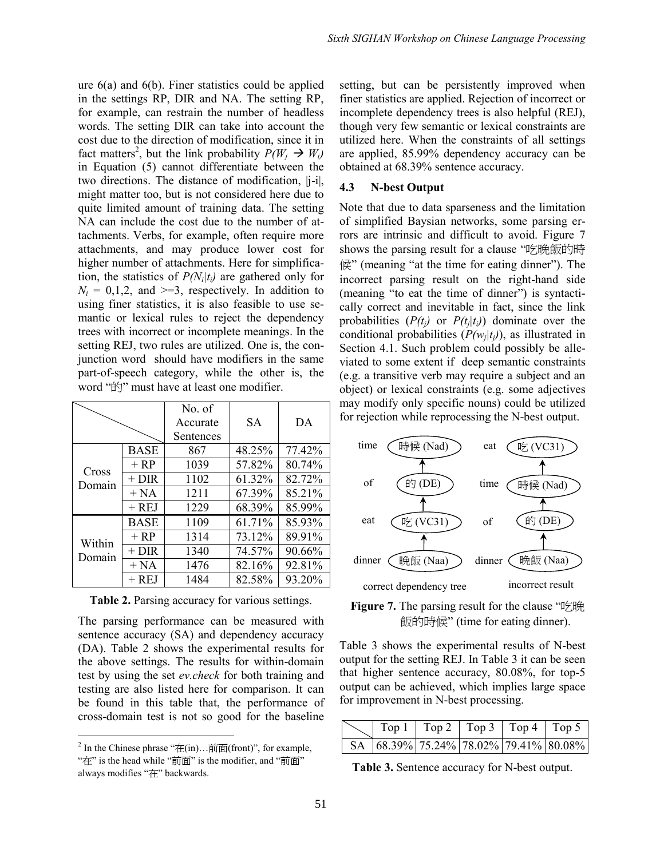ure 6(a) and 6(b). Finer statistics could be applied in the settings RP, DIR and NA. The setting RP, for example, can restrain the number of headless words. The setting DIR can take into account the cost due to the direction of modification, since it in fact matters<sup>2</sup>, but the link probability  $P(W_j \rightarrow W_i)$ in Equation (5) cannot differentiate between the two directions. The distance of modification, |j-i|, might matter too, but is not considered here due to  $4.3$ quite limited amount of training data. The setting NA can include the cost due to the number of attachments. Verbs, for example, often require more attachments, and may produce lower cost for higher number of attachments. Here for simplification, the statistics of  $P(N_i|t_i)$  are gathered only for  $N_i = 0,1,2$ , and  $\geq 3$ , respectively. In addition to using finer statistics, it is also feasible to use semantic or lexical rules to reject the dependency trees with incorrect or incomplete meanings. In the setting REJ, two rules are utilized. One is, the conjunction word should have modifiers in the same part-of-speech category, while the other is, the word "的" must have at least one modifier.

|                  |             | No. of<br>Accurate<br>Sentences | <b>SA</b> | DA     |
|------------------|-------------|---------------------------------|-----------|--------|
| Cross<br>Domain  | <b>BASE</b> | 867                             | 48.25%    | 77.42% |
|                  | $+RP$       | 1039                            | 57.82%    | 80.74% |
|                  | $+$ DIR     | 1102                            | 61.32%    | 82.72% |
|                  | $+ NA$      | 1211                            | 67.39%    | 85.21% |
|                  | $+ REJ$     | 1229                            | 68.39%    | 85.99% |
| Within<br>Domain | BASE        | 1109                            | 61.71%    | 85.93% |
|                  | $+RP$       | 1314                            | 73.12%    | 89.91% |
|                  | $+$ DIR     | 1340                            | 74.57%    | 90.66% |
|                  | $+ NA$      | 1476                            | 82.16%    | 92.81% |
|                  | $+$ REJ     | 1484                            | 82.58%    | 93.20% |

**Table 2.** Parsing accuracy for various settings.

The parsing performance can be measured with sentence accuracy (SA) and dependency accuracy (DA). Table 2 shows the experimental results for the above settings. The results for within-domain test by using the set *ev.check* for both training and testing are also listed here for comparison. It can be found in this table that, the performance of cross-domain test is not so good for the baseline setting, but can be persistently improved when finer statistics are applied. Rejection of incorrect or incomplete dependency trees is also helpful (REJ), though very few semantic or lexical constraints are utilized here. When the constraints of all settings are applied, 85.99% dependency accuracy can be obtained at 68.39% sentence accuracy.

# **4.3 N-best Output**

Note that due to data sparseness and the limitation of simplified Baysian networks, some parsing errors are intrinsic and difficult to avoid. Figure 7 shows the parsing result for a clause "吃晚飯的時 候"(meaning "at the time for eating dinner"). The incorrect parsing result on the right-hand side (meaning "to eat the time of dinner") is syntactically correct and inevitable in fact, since the link probabilities  $(P(t_j)$  or  $P(t_j|t_i)$  dominate over the conditional probabilities  $(P(w_j | t_j))$ , as illustrated in Section 4.1. Such problem could possibly be alleviated to some extent if deep semantic constraints (e.g. a transitive verb may require a subject and an object) or lexical constraints (e.g. some adjectives may modify only specific nouns) could be utilized for rejection while reprocessing the N-best output.





Table 3 shows the experimental results of N-best output for the setting REJ. In Table 3 it can be seen that higher sentence accuracy, 80.08%, for top-5 output can be achieved, which implies large space for improvement in N-best processing.

|  |  | SA 68.39% 75.24% 78.02% 79.41% 80.08% |
|--|--|---------------------------------------|

**Table 3.** Sentence accuracy for N-best output.

<sup>&</sup>lt;sup>2</sup> In the Chinese phrase " $\pm$ (in)...  $\frac{1}{n}$   $\pm$  (front)", for example, "在"is the head while "前面"is the modifier, and "前面" always modifies "在"backwards.